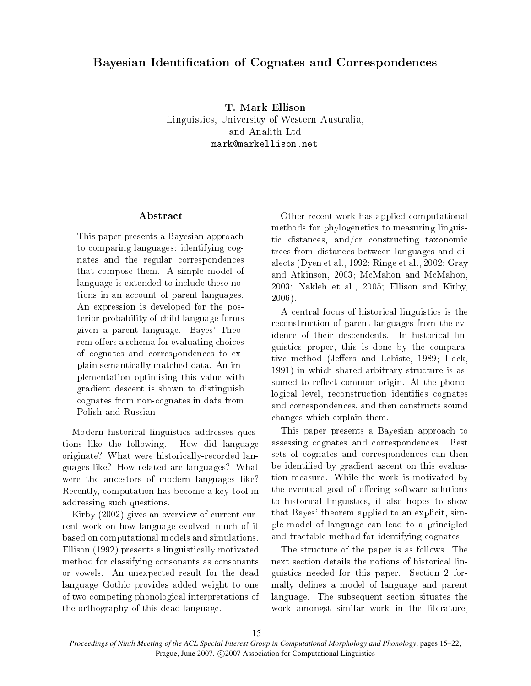# Bayesian Identi
ation of Cognates and Corresponden
es

T. Mark Ellison Linguisti
s, University of Western Australia, and Analith Ltd mark@markellison.net

#### Abstract

This paper presents a Bayesian approa
h to comparing languages: identifying cognates and the regular orresponden
es that ompose them. A simple model of language is extended to in
lude these notions in an account of parent languages. An expression is developed for the posterior probability of hild language forms given a parent language. Bayes' Theorem offers a schema for evaluating choices of ognates and orresponden
es to explain semanti
ally mat
hed data. An implementation optimising this value with gradient des
ent is shown to distinguish ognates from nonognates in data from Polish and Russian.

Modern historical linguistics addresses questions like the following. How did language originate? What were historically-recorded languages like? How related are languages? What were the an
estors of modern languages like? Re
ently, omputation has be
ome a key tool in addressing su
h questions.

Kirby (2002) gives an overview of current current work on how language evolved, mu
h of it based on omputational models and simulations. Ellison (1992) presents a linguisti
ally motivated method for lassifying onsonants as onsonants or vowels. An unexpe
ted result for the dead language Gothic provides added weight to one of two ompeting phonologi
al interpretations of the orthography of this dead language.

Other re
ent work has applied omputational methods for phylogeneti
s to measuring linguistic distances, and/or constructing taxonomic trees from distan
es between languages and diale
ts (Dyen et al., 1992; Ringe et al., 2002; Gray and Atkinson, 2003; M
Mahon and M
Mahon, 2003; Nakleh et al., 2005; Ellison and Kirby, 2006).

A entral fo
us of histori
al linguisti
s is the reconstruction of parent languages from the evidence of their descendents. In historical linguisti
s proper, this is done by the omparative method (Jeffers and Lehiste, 1989; Hock, 1991) in which shared arbitrary structure is assumed to reflect common origin. At the phonological level, reconstruction identifies cognates and orresponden
es, and then onstru
ts sound hanges whi
h explain them.

This paper presents a Bayesian approa
h to assessing ognates and orresponden
es. Best sets of cognates and correspondences can then be identified by gradient ascent on this evaluation measure. While the work is motivated by the eventual goal of offering software solutions to histori
al linguisti
s, it also hopes to show that Bayes' theorem applied to an explicit, simple model of language an lead to a prin
ipled and tra
table method for identifying ognates.

The structure of the paper is as follows. The next se
tion details the notions of histori
al linguisti
s needed for this paper. Se
tion 2 formally defines a model of language and parent language. The subsequent section situates the work amongst similar work in the literature,

*Proceedings of Ninth Meeting of the ACL Special Interest Group in Computational Morphology and Phonology*, pages 15–22, Prague, June 2007. © 2007 Association for Computational Linguistics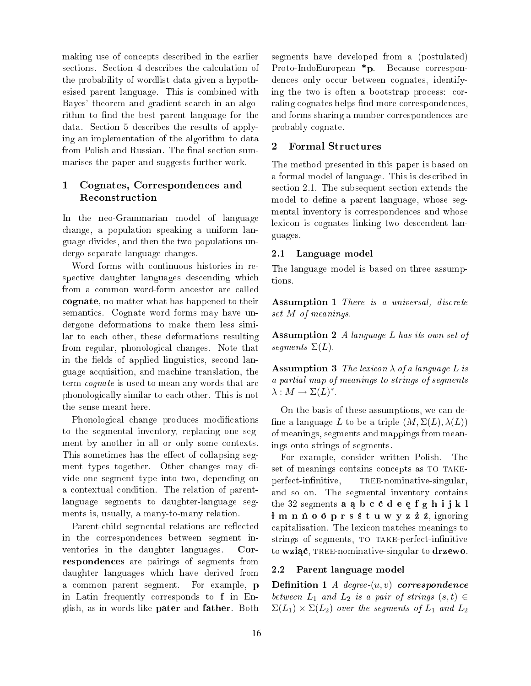making use of on
epts des
ribed in the earlier sections. Section 4 describes the calculation of the probability of wordlist data given a hypothesised parent language. This is ombined with Bayes' theorem and gradient sear
h in an algorithm to find the best parent language for the data. Se
tion 5 des
ribes the results of applying an implementation of the algorithm to data from Polish and Russian. The final section summarises the paper and suggests further work.

# 1 Cognates, Corresponden
es and Reconstruction

In the neo-Grammarian model of language hange, a population speaking a uniform language divides, and then the two populations undergo separate language hanges.

Word forms with ontinuous histories in respective daughter languages descending which from a common word-form ancestor are called ognate, no matter what has happened to their semanti
s. Cognate word forms may have undergone deformations to make them less similar to ea
h other, these deformations resulting from regular, phonologi
al hanges. Note that in the fields of applied linguistics, second language a
quisition, and ma
hine translation, the term *cognate* is used to mean any words that are phonologi
ally similar to ea
h other. This is not the sense meant here.

Phonological change produces modifications to the segmental inventory, replacing one segment by another in all or only some contexts. This sometimes has the effect of collapsing segment types together. Other hanges may divide one segment type into two, depending on a ontextual ondition. The relation of parentlanguage segments to daughter-language segments is, usually, a many-to-many relation.

Parent-child segmental relations are reflected in the orresponden
es between segment inventories in the daughter languages. Corresponden
es are pairings of segments from daughter languages whi
h have derived from a ommon parent segment. For example, p in Latin frequently orresponds to f in English, as in words like pater and father. Both

segments have developed from a (postulated) Proto-IndoEuropean \*p. Because correspondences only occur between cognates, identifying the two is often a bootstrap pro
ess: orraling cognates helps find more correspondences, and forms sharing a number orresponden
es are probably ognate.

# 2 Formal Stru
tures

The method presented in this paper is based on a formal model of language. This is des
ribed in section 2.1. The subsequent section extends the model to define a parent language, whose segmental inventory is orresponden
es and whose lexicon is cognates linking two descendent languages.

## 2.1 Language model

The language model is based on three assumptions.

Assumption 1 There is a universal, discrete set M of meanings.

Assumption 2 A language L has its own set of segments  $\Sigma(L)$ .

**Assumption 3** The lexicon  $\lambda$  of a language L is a partial map of meanings to strings of segments  $\lambda: M \to \Sigma(L)^*$ .

On the basis of these assumptions, we an de fine a language L to be a triple  $(M, \Sigma(L), \lambda(L))$ of meanings, segments and mappings from meanings onto strings of segments.

For example, onsider written Polish. The set of meanings contains concepts as TO TAKEperfect-infinitive, TREE-nominative-singular. and so on. The segmental inventory contains the 32 segments  $a, a, b, c, c, d, e, e, f, g, h, i, j, k, l$  $\frac{1}{2}$  m n ń o ó p r s ś t u w y z ż ź, ignoring apitalisation. The lexi
on mat
hes meanings to strings of segments, TO TAKE-perfect-infinitive to wziąć, TREE-nominative-singular to drzewo.

## 2.2 Parent language model

Definition 1 *A* degree- $(u, v)$  correspondence between  $L_1$  and  $L_2$  is a pair of strings  $(s,t) \in$  $\Sigma(L_1) \times \Sigma(L_2)$  over the segments of  $L_1$  and  $L_2$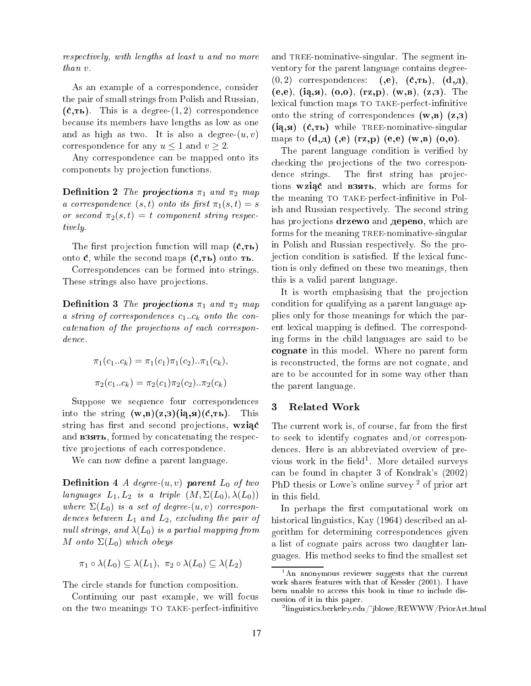respe
tively, with lengths at least u and no more than v.

As an example of a correspondence, consider the pair of small strings from Polish and Russian,  $({\bf c}, {\bf r_b})$ . This is a degree- $(1, 2)$  correspondence be
ause its members have lengths as low as one and as high as two. It is also a degree- $(u, v)$ correspondence for any  $u \leq 1$  and  $v \geq 2$ .

Any orresponden
e an be mapped onto its components by projection functions.

Definition 2 The projections  $\pi_1$  and  $\pi_2$  map a correspondence  $(s,t)$  onto its first  $\pi_1(s,t) = s$ or second  $\pi_2(s,t) = t$  component string respectively.

The first projection function will map  $(c, \mathbf{r}_b)$ onto  $\dot{\mathbf{c}}$ , while the second maps  $(\dot{\mathbf{c}}, \mathbf{r}_b)$  onto  $\mathbf{r}_b$ .

Corresponden
es an be formed into strings. These strings also have projections.

Definition 3 The projections  $\pi_1$  and  $\pi_2$  map a string of correspondences  $c_1..c_k$  onto the concatenation of the projections of each correspondence.

$$
\pi_1(c_1...c_k) = \pi_1(c_1)\pi_1(c_2)...\pi_1(c_k),
$$
  

$$
\pi_2(c_1...c_k) = \pi_2(c_1)\pi_2(c_2)...\pi_2(c_k)
$$

Suppose we sequence four correspondences into the string  $(w, \mathbf{B})(z, \mathbf{B})(i\mathbf{A}, \mathbf{B})(\mathbf{C}, \mathbf{B})$ . This string has first and second projections, wziąc and **B3ATb**, formed by concatenating the respective projections of each correspondence.

We can now define a parent language.

**Definition 4** A degree- $(u, v)$  parent  $L_0$  of two languages  $L_1, L_2$  is a triple  $(M, \Sigma(L_0), \lambda(L_0))$ where  $\Sigma(L_0)$  is a set of degree- $(u, v)$  correspondences between  $L_1$  and  $L_2$ , excluding the pair of null strings, and  $\lambda(L_0)$  is a partial mapping from M onto  $\Sigma(L_0)$  which obeys

$$
\pi_1 \circ \lambda(L_0) \subseteq \lambda(L_1), \ \pi_2 \circ \lambda(L_0) \subseteq \lambda(L_2)
$$

The circle stands for function composition.

Continuing our past example, we will focus on the two meanings TO TAKE-perfect-infinitive

and TREE-nominative-singular. The segment inventory for the parent language ontains degree-  $(0, 2)$  correspondences:  $(0, e)$ ,  $(\mathbf{c}, \mathbf{rb})$ ,  $(\mathbf{d}, \mathbf{d})$ ,  $(e, e), (iq, a), (o, o), (rz, p), (w, a), (z, a)$ . The lexical function maps TO TAKE-perfect-infinitive onto the string of correspondences  $(w, a)$   $(z, a)$  $(i\mathbf{a}, \mathbf{a})$   $(\dot{\mathbf{c}}, \mathbf{b})$  while TREE-nominative-singular maps to  $(d,a)$   $(e)$   $(rz,p)$   $(e,e)$   $(w,a)$   $(o,o)$ .

The parent language condition is verified by checking the projections of the two correspondence strings. The first string has projections wziąć and **взять**, which are forms for the meaning TO TAKE-perfect-infinitive in Polish and Russian respe
tively. The se
ond string has projections **drzewo** and **дерево**, which are forms for the meaning TREE-nominative-singular in Polish and Russian respe
tively. So the projection condition is satisfied. If the lexical function is only defined on these two meanings, then this is a valid parent language.

It is worth emphasising that the projection ondition for qualifying as a parent language applies only for those meanings for whi
h the parent lexical mapping is defined. The corresponding forms in the hild languages are said to be cognate in this model. Where no parent form is re
onstru
ted, the forms are not ognate, and are to be accounted for in some way other than the parent language.

## 3 Related Work

The current work is, of course, far from the first to seek to identify cognates and/or corresponden
es. Here is an abbreviated overview of previous work in the held-. More detailed surveys an be found in hapter 3 of Kondrak's (2002) PhD thesis or Lowe's online survey<sup>2</sup> of prior art in this field.

In perhaps the first computational work on historical linguistics, Kay (1964) described an algorithm for determining orresponden
es given a list of ognate pairs a
ross two daughter languages. His method seeks to find the smallest set

<sup>&#</sup>x27;An anonymous reviewer suggests that the current work shares features with that of Kessler (2001). I have been unable to access this book in time to include disussion of it in this paper.

 $^2$ linguistics.berkeley.edu/~iblowe/REWWW/PriorArt.html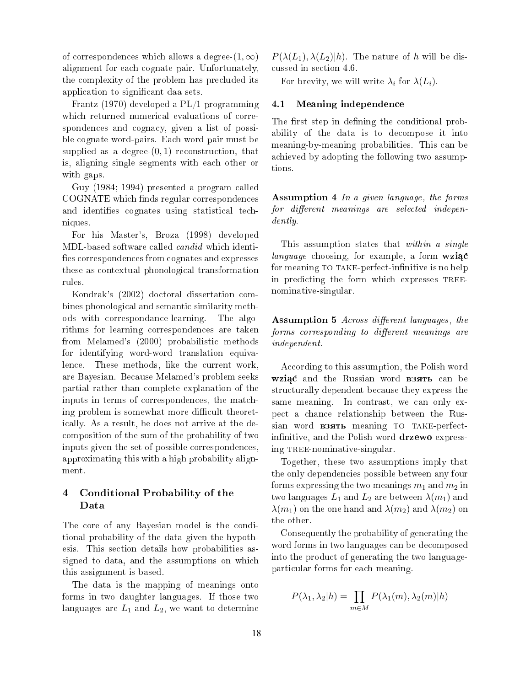of correspondences which allows a degree- $(1,\infty)$ alignment for ea
h ognate pair. Unfortunately, the omplexity of the problem has pre
luded its application to significant daa sets.

Frantz (1970) developed a PL/1 programming which returned numerical evaluations of correspondences and cognacy, given a list of possible ognate word-pairs. Ea
h word pair must be supplied as a degree- $(0, 1)$  reconstruction, that is, aligning single segments with ea
h other or with gaps.

Guy (1984; 1994) presented a program alled COGNATE which finds regular correspondences and identifies cognates using statistical techniques.

For his Master's, Broza (1998) developed MDL-based software called *candid* which identifies correspondences from cognates and expresses these as ontextual phonologi
al transformation rules.

Kondrak's (2002) do
toral dissertation ombines phonological and semantic similarity methods with orrespondan
e-learning. The algorithms for learning orresponden
es are taken from Melamed's (2000) probabilisti methods for identifying word-word translation equivalence. These methods, like the current work, are Bayesian. Be
ause Melamed's problem seeks partial rather than omplete explanation of the inputs in terms of orresponden
es, the mat
hing problem is somewhat more difficult theoreti
ally. As a result, he does not arrive at the de omposition of the sum of the probability of two inputs given the set of possible orresponden
es, approximating this with a high probability alignment.

#### Conditional Probability of the 4 Data

The core of any Bayesian model is the conditional probability of the data given the hypothesis. This se
tion details how probabilities assigned to data, and the assumptions on whi
h this assignment is based.

The data is the mapping of meanings onto forms in two daughter languages. If those two languages are  $L_1$  and  $L_2$ , we want to determine  $P(\lambda(L_1), \lambda(L_2)|h)$ . The nature of h will be disussed in se
tion 4.6.

For brevity, we will write  $\lambda_i$  for  $\lambda(L_i)$ .

#### 4.1 Meaning independen
e

The first step in defining the conditional probability of the data is to de
ompose it into meaning-by-meaning probabilities. This an be a
hieved by adopting the following two assumptions.

Assumption 4 In a given language, the forms  $for$  different meanings are selected independently.

This assumption states that within a single *language* choosing, for example, a form  $wziac$ for meaning TO TAKE-perfect-infinitive is no help in predicting the form which expresses TREEnominative-singular.

Assumption 5 Across different languages, the forms corresponding to different meanings are independent.

According to this assumption, the Polish word Wziać and the Russian word **B3ATb** can be stru
turally dependent be
ause they express the same meaning. In contrast, we can only expe
t a han
e relationship between the Russian word **B3ATL** meaning TO TAKE-perfectinfinitive, and the Polish word drzewo expressing TREE-nominative-singular.

Together, these two assumptions imply that the only dependen
ies possible between any four forms expressing the two meanings  $m_1$  and  $m_2$  in two languages  $L_1$  and  $L_2$  are between  $\lambda(m_1)$  and  $\lambda(m_1)$  on the one hand and  $\lambda(m_2)$  and  $\lambda(m_2)$  on

Consequently the probability of generating the word forms in two languages can be decomposed into the produ
t of generating the two languageparti
ular forms for ea
h meaning.

$$
P(\lambda_1, \lambda_2 | h) = \prod_{m \in M} P(\lambda_1(m), \lambda_2(m) | h)
$$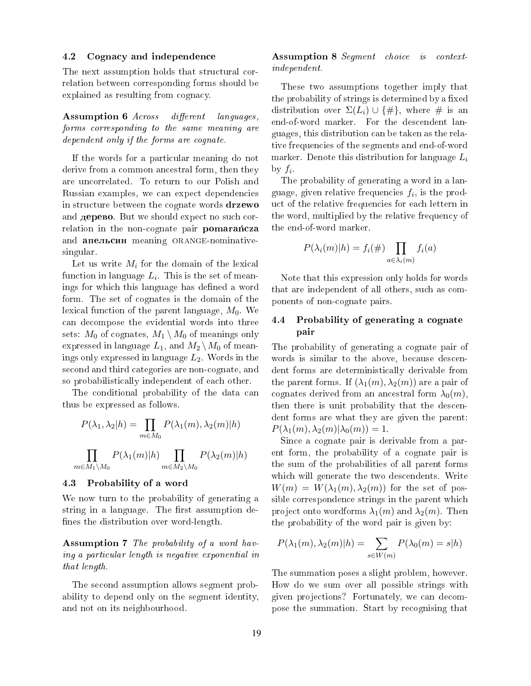#### 4.2 Cogna
y and independen
e

The next assumption holds that structural correlation between orresponding forms should be explained as resulting from cognacy.

Assumption 6 Across different languages, forms orresponding to the same meaning are dependent only if the forms are cognate.

If the words for a particular meaning do not derive from a common ancestral form, then they are un
orrelated. To return to our Polish and Russian examples, we can expect dependencies in structure between the cognate words drzewo and **дерево**. But we should expect no such correlation in the non-cognate pair pomarancza and **апельсин** meaning ORANGE-nominativesingular.

Let us write  $M_i$  for the domain of the lexical function in language  $L_i$ . This is the set of meanings for which this language has defined a word form. The set of ognates is the domain of the lexical function of the parent language,  $M_0$ . We an de
ompose the evidential words into three sets:  $M_0$  of cognates,  $M_1 \setminus M_0$  of meanings only expressed in language  $L_1$ , and  $M_2 \setminus M_0$  of meanings only expressed in language  $L_2$ . Words in the second and third categories are non-cognate, and so probabilistically independent of each other.

The conditional probability of the data can thus be expressed as follows.

$$
P(\lambda_1, \lambda_2 | h) = \prod_{m \in M_0} P(\lambda_1(m), \lambda_2(m) | h)
$$

$$
\prod_{m \in M_1 \backslash M_0} P(\lambda_1(m) | h) \prod_{m \in M_2 \backslash M_0} P(\lambda_2(m) | h)
$$

#### 4.3 Probability of a word

We now turn to the probability of generating a string in a language. The first assumption defines the distribution over word-length.

Assumption 7 The probability of a word having a particular length is negative exponential in that length.

The second assumption allows segment probability to depend only on the segment identity, and not on its neighbourhood.

#### Assumption 8 Segment choice is contextindependent.

These two assumptions together imply that the probability of strings is determined by a fixed distribution over  $\Sigma(L_i) \cup \{ \# \}$ , where # is an end-of-word marker. For the des
endent languages, this distribution an be taken as the relative frequencies of the segments and end-of-word marker. Denote this distribution for language  $L_i$ by  $f_i$ 

The probability of generating a word in a language, given relative frequencies  $f_i$ , is the product of the relative frequencies for each lettern in the word, multiplied by the relative frequency of the end-of-word marker.

$$
P(\lambda_i(m)|h) = f_i(\#) \prod_{a \in \lambda_i(m)} f_i(a)
$$

Note that this expression only holds for words that are independent of all others, su
h as omponents of nonognate pairs.

## 4.4 Probability of generating a ognate pair

The probability of generating a cognate pair of words is similar to the above, because descendent forms are deterministi
ally derivable from the parent forms. If  $(\lambda_1(m), \lambda_2(m))$  are a pair of cognates derived from an ancestral form  $\lambda_0(m)$ , then there is unit probability that the des
endent forms are what they are given the parent:  $P(\lambda_1(m), \lambda_2(m)|\lambda_0(m)) = 1.$ 

Sin
e a ognate pair is derivable from a parent form, the probability of a ognate pair is the sum of the probabilities of all parent forms which will generate the two descendents. Write  $W(m) = W(\lambda_1(m), \lambda_2(m))$  for the set of possible orresponden
e strings in the parent whi
h project onto wordforms  $\lambda_1(m)$  and  $\lambda_2(m)$ . Then the probability of the word pair is given by:

$$
P(\lambda_1(m), \lambda_2(m)|h) = \sum_{s \in W(m)} P(\lambda_0(m) = s|h)
$$

The summation poses a slight problem, however. How do we sum over all possible strings with given projections? Fortunately, we can decompose the summation. Start by re
ognising that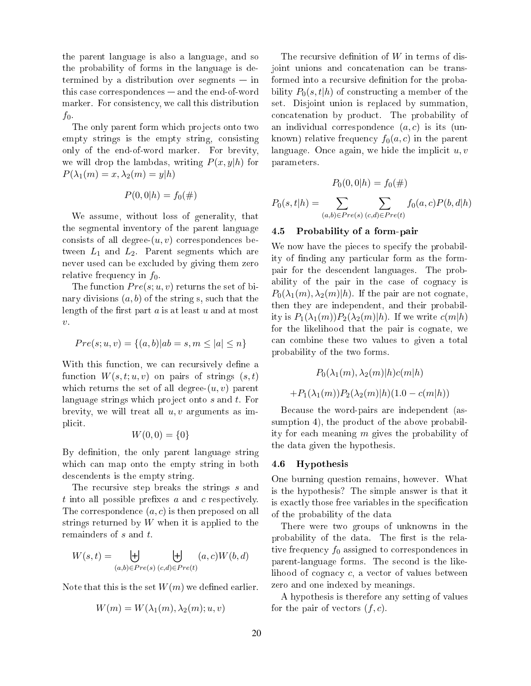the parent language is also a language, and so the probability of forms in the language is determined by a distribution over segments  $-$  in this case correspondences - and the end-of-word marker. For consistency, we call this distribution  $f_0$ .

The only parent form which projects onto two empty strings is the empty string, onsisting only of the end-of-word marker. For brevity, we will drop the lambdas, writing  $P(x, y|h)$  for  $P(\lambda_1(m) = x, \lambda_2(m) = y|h)$ 

$$
P(0,0|h) = f_0(\#)
$$

We assume, without loss of generality, that the segmental inventory of the parent language consists of all degree- $(u, v)$  correspondences between  $L_1$  and  $L_2$ . Parent segments which are never used an be ex
luded by giving them zero relative frequency in  $f_0$ .

The function  $Pre(s; u, v)$  returns the set of binary divisions  $(a, b)$  of the string s, such that the length of the first part  $a$  is at least  $u$  and at most  $\upsilon$ .

$$
Pre(s; u, v) = \{(a, b) | ab = s, m \le |a| \le n\}
$$

With this function, we can recursively define a function  $W(s,t;u,v)$  on pairs of strings  $(s,t)$ which returns the set of all degree- $(u, v)$  parent language strings which project onto s and t. For brevity, we will treat all  $u, v$  arguments as implicit.

$$
W(0,0) = \{0\}
$$

By definition, the only parent language string which can map onto the empty string in both des
endents is the empty string.

The recursive step breaks the strings s and  $t$  into all possible prefixes  $a$  and  $c$  respectively. The correspondence  $(a, c)$  is then preposed on all strings returned by  $W$  when it is applied to the remainders of s and t.

$$
W(s,t) = \biguplus_{(a,b)\in Pre(s)} \biguplus_{(c,d)\in Pre(t)} (a,c)W(b,d)
$$

Note that this is the set  $W(m)$  we defined earlier.

$$
W(m) = W(\lambda_1(m), \lambda_2(m); u, v)
$$

The recursive definition of  $W$  in terms of disjoint unions and concatenation can be transformed into a recursive definition for the probability  $P_0(s,t|h)$  of constructing a member of the set. Disjoint union is repla
ed by summation, on
atenation by produ
t. The probability of an individual correspondence  $(a, c)$  is its (unknown) relative frequency  $f_0(a, c)$  in the parent language. Once again, we hide the implicit  $u, v$ parameters.

$$
P_0(0,0|h) = f_0(\#)
$$

$$
P_0(s,t|h) = \sum_{(a,b)\in Pre(s)} \sum_{(c,d)\in Pre(t)} f_0(a,c)P(b,d|h)
$$

#### Probability of a form-pair  $4.5$

We now have the pieces to specify the probability of finding any particular form as the formpair for the des
endent languages. The probability of the pair in the case of cognacy is  $P_0(\lambda_1(m), \lambda_2(m)|h)$ . If the pair are not cognate. then they are independent, and their probability is  $P_1(\lambda_1(m))P_2(\lambda_2(m)|h)$ . If we write  $c(m|h)$ for the likelihood that the pair is ognate, we an ombine these two values to given a total probability of the two forms.

$$
P_0(\lambda_1(m), \lambda_2(m)|h)c(m|h)
$$

$$
+P_1(\lambda_1(m))P_2(\lambda_2(m)|h)(1.0 - c(m|h))
$$

Be
ause the word-pairs are independent (assumption 4), the product of the above probability for each meaning  $m$  gives the probability of the data given the hypothesis.

#### 4.6 **Hypothesis**

One burning question remains, however. What is the hypothesis? The simple answer is that it is exactly those free variables in the specification of the probability of the data

There were two groups of unknowns in the probability of the data. The first is the relative frequency  $f_0$  assigned to correspondences in parent-language forms. The se
ond is the likelihood of cognacy c, a vector of values between zero and one indexed by meanings.

A hypothesis is therefore any setting of values for the pair of vectors  $(f, c)$ .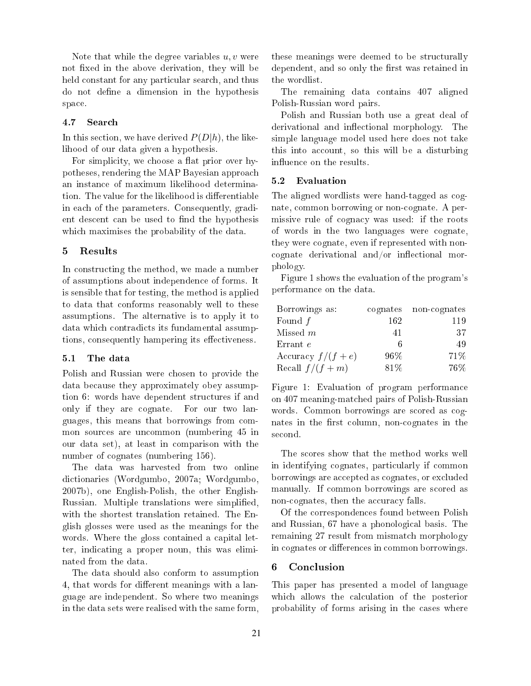Note that while the degree variables  $u, v$  were not fixed in the above derivation, they will be held constant for any particular search, and thus do not define a dimension in the hypothesis spa
e.

#### 4.7 Sear
h

In this section, we have derived  $P(D|h)$ , the likelihood of our data given a hypothesis.

For simplicity, we choose a flat prior over hypotheses, rendering the MAP Bayesian approa
h an instan
e of maximum likelihood determination. The value for the likelihood is differentiable in ea
h of the parameters. Consequently, gradient descent can be used to find the hypothesis which maximises the probability of the data.

#### 5 Results

In constructing the method, we made a number of assumptions about independen
e of forms. It is sensible that for testing, the method is applied to data that onforms reasonably well to these assumptions. The alternative is to apply it to data whi
h ontradi
ts its fundamental assumptions, consequently hampering its effectiveness.

#### 5.1 The data

Polish and Russian were hosen to provide the data because they approximately obey assumption 6: words have dependent structures if and only if they are ognate. For our two languages, this means that borrowings from ommon sources are uncommon (numbering 45 in our data set), at least in omparison with the number of cognates (numbering 156).

The data was harvested from two online di
tionaries (Wordgumbo, 2007a; Wordgumbo, 2007b), one English-Polish, the other English-Russian. Multiple translations were simplified, with the shortest translation retained. The English glosses were used as the meanings for the words. Where the gloss contained a capital letter, indi
ating a proper noun, this was eliminated from the data.

The data should also onform to assumption 4, that words for different meanings with a language are independent. So where two meanings in the data sets were realised with the same form,

these meanings were deemed to be stru
turally dependent, and so only the first was retained in the wordlist.

The remaining data ontains 407 aligned Polish-Russian word pairs.

Polish and Russian both use a great deal of derivational and inflectional morphology. The simple language model used here does not take this into account, so this will be a disturbing influence on the results.

#### 5.2 Evaluation

The aligned wordlists were hand-tagged as ognate, ommon borrowing or nonognate. A permissive rule of cognacy was used: if the roots of words in the two languages were ognate, they were ognate, even if represented with non  $cognate$  derivational and/or inflectional morphology.

Figure 1 shows the evaluation of the program's performan
e on the data.

| Borrowings as:     |        | cognates non-cognates |
|--------------------|--------|-----------------------|
| Found $f$          | 162    | 119                   |
| Missed $m$         | 41     | 37                    |
| Errant e           | б      | 49                    |
| Accuracy $f/(f+e)$ | $96\%$ | 71\%                  |
| Recall $f/(f+m)$   | 81\%   | $76\%$                |

Figure 1: Evaluation of program performan
e on 407 meaning-mat
hed pairs of Polish-Russian words. Common borrowings are scored as cognates in the first column, non-cognates in the second.

The s
ores show that the method works well in identifying cognates, particularly if common borrowings are accepted as cognates, or excluded manually. If ommon borrowings are s
ored as non-cognates, then the accuracy falls.

Of the orresponden
es found between Polish and Russian, 67 have a phonologi
al basis. The remaining 27 result from mismat
h morphology in cognates or differences in common borrowings.

#### 6 **Conclusion**

This paper has presented a model of language which allows the calculation of the posterior probability of forms arising in the ases where